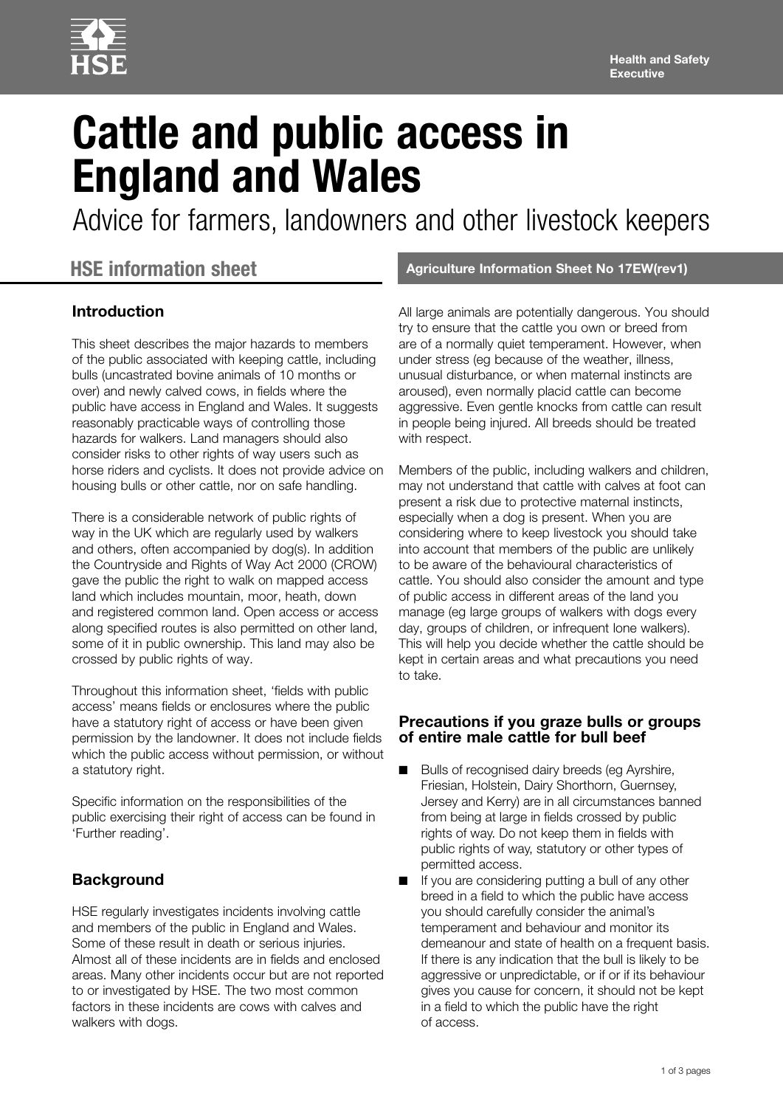

# **Cattle and public access in England and Wales**

Advice for farmers, landowners and other livestock keepers

## **HSE information sheet**

### **Introduction**

This sheet describes the major hazards to members of the public associated with keeping cattle, including bulls (uncastrated bovine animals of 10 months or over) and newly calved cows, in fields where the public have access in England and Wales. It suggests reasonably practicable ways of controlling those hazards for walkers. Land managers should also consider risks to other rights of way users such as horse riders and cyclists. It does not provide advice on housing bulls or other cattle, nor on safe handling.

There is a considerable network of public rights of way in the UK which are regularly used by walkers and others, often accompanied by dog(s). In addition the Countryside and Rights of Way Act 2000 (CROW) gave the public the right to walk on mapped access land which includes mountain, moor, heath, down and registered common land. Open access or access along specified routes is also permitted on other land, some of it in public ownership. This land may also be crossed by public rights of way.

Throughout this information sheet, 'fields with public access' means fields or enclosures where the public have a statutory right of access or have been given permission by the landowner. It does not include fields which the public access without permission, or without a statutory right.

Specific information on the responsibilities of the public exercising their right of access can be found in 'Further reading'.

## **Background**

HSE regularly investigates incidents involving cattle and members of the public in England and Wales. Some of these result in death or serious injuries. Almost all of these incidents are in fields and enclosed areas. Many other incidents occur but are not reported to or investigated by HSE. The two most common factors in these incidents are cows with calves and walkers with dogs.

#### **Agriculture Information Sheet No 17EW(rev1)**

All large animals are potentially dangerous. You should try to ensure that the cattle you own or breed from are of a normally quiet temperament. However, when under stress (eg because of the weather, illness, unusual disturbance, or when maternal instincts are aroused), even normally placid cattle can become aggressive. Even gentle knocks from cattle can result in people being injured. All breeds should be treated with respect.

Members of the public, including walkers and children, may not understand that cattle with calves at foot can present a risk due to protective maternal instincts, especially when a dog is present. When you are considering where to keep livestock you should take into account that members of the public are unlikely to be aware of the behavioural characteristics of cattle. You should also consider the amount and type of public access in different areas of the land you manage (eg large groups of walkers with dogs every day, groups of children, or infrequent lone walkers). This will help you decide whether the cattle should be kept in certain areas and what precautions you need to take.

#### **Precautions if you graze bulls or groups of entire male cattle for bull beef**

- Bulls of recognised dairy breeds (eg Ayrshire, Friesian, Holstein, Dairy Shorthorn, Guernsey, Jersey and Kerry) are in all circumstances banned from being at large in fields crossed by public rights of way. Do not keep them in fields with public rights of way, statutory or other types of permitted access.
- If you are considering putting a bull of any other breed in a field to which the public have access you should carefully consider the animal's temperament and behaviour and monitor its demeanour and state of health on a frequent basis. If there is any indication that the bull is likely to be aggressive or unpredictable, or if or if its behaviour gives you cause for concern, it should not be kept in a field to which the public have the right of access.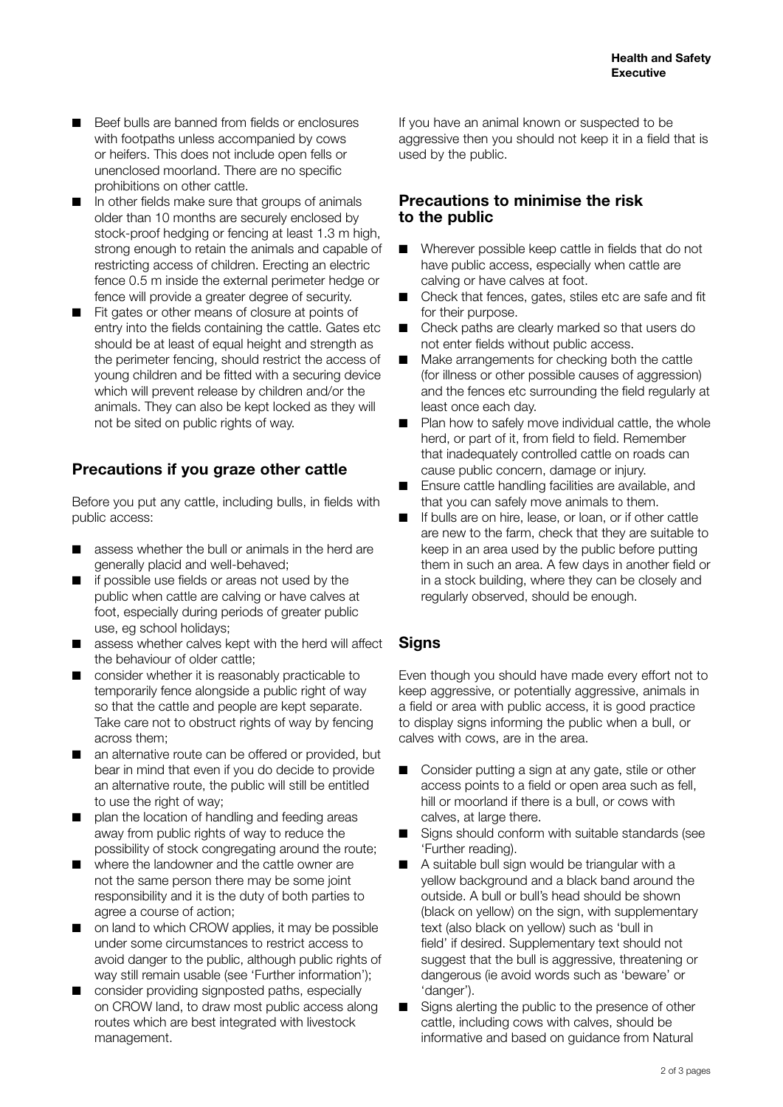- Beef bulls are banned from fields or enclosures with footpaths unless accompanied by cows or heifers. This does not include open fells or unenclosed moorland. There are no specific prohibitions on other cattle.
- In other fields make sure that groups of animals older than 10 months are securely enclosed by stock-proof hedging or fencing at least 1.3 m high, strong enough to retain the animals and capable of restricting access of children. Erecting an electric fence 0.5 m inside the external perimeter hedge or fence will provide a greater degree of security.
- Fit gates or other means of closure at points of entry into the fields containing the cattle. Gates etc should be at least of equal height and strength as the perimeter fencing, should restrict the access of young children and be fitted with a securing device which will prevent release by children and/or the animals. They can also be kept locked as they will not be sited on public rights of way.

## **Precautions if you graze other cattle**

Before you put any cattle, including bulls, in fields with public access:

- assess whether the bull or animals in the herd are generally placid and well-behaved;
- if possible use fields or areas not used by the public when cattle are calving or have calves at foot, especially during periods of greater public use, eg school holidays;
- assess whether calves kept with the herd will affect the behaviour of older cattle;
- consider whether it is reasonably practicable to temporarily fence alongside a public right of way so that the cattle and people are kept separate. Take care not to obstruct rights of way by fencing across them;
- an alternative route can be offered or provided, but bear in mind that even if you do decide to provide an alternative route, the public will still be entitled to use the right of way;
- plan the location of handling and feeding areas away from public rights of way to reduce the possibility of stock congregating around the route;
- where the landowner and the cattle owner are not the same person there may be some joint responsibility and it is the duty of both parties to agree a course of action;
- on land to which CROW applies, it may be possible under some circumstances to restrict access to avoid danger to the public, although public rights of way still remain usable (see 'Further information');
- consider providing signposted paths, especially on CROW land, to draw most public access along routes which are best integrated with livestock management.

If you have an animal known or suspected to be aggressive then you should not keep it in a field that is used by the public.

#### **Precautions to minimise the risk to the public**

- Wherever possible keep cattle in fields that do not have public access, especially when cattle are calving or have calves at foot.
- Check that fences, gates, stiles etc are safe and fit for their purpose.
- Check paths are clearly marked so that users do not enter fields without public access.
- Make arrangements for checking both the cattle (for illness or other possible causes of aggression) and the fences etc surrounding the field regularly at least once each day.
- Plan how to safely move individual cattle, the whole herd, or part of it, from field to field. Remember that inadequately controlled cattle on roads can cause public concern, damage or injury.
- Ensure cattle handling facilities are available, and that you can safely move animals to them.
- If bulls are on hire, lease, or loan, or if other cattle are new to the farm, check that they are suitable to keep in an area used by the public before putting them in such an area. A few days in another field or in a stock building, where they can be closely and regularly observed, should be enough.

## **Signs**

Even though you should have made every effort not to keep aggressive, or potentially aggressive, animals in a field or area with public access, it is good practice to display signs informing the public when a bull, or calves with cows, are in the area.

- Consider putting a sign at any gate, stile or other access points to a field or open area such as fell, hill or moorland if there is a bull, or cows with calves, at large there.
- Signs should conform with suitable standards (see 'Further reading).
- A suitable bull sign would be triangular with a yellow background and a black band around the outside. A bull or bull's head should be shown (black on yellow) on the sign, with supplementary text (also black on yellow) such as 'bull in field' if desired. Supplementary text should not suggest that the bull is aggressive, threatening or dangerous (ie avoid words such as 'beware' or 'danger').
- Signs alerting the public to the presence of other cattle, including cows with calves, should be informative and based on guidance from Natural